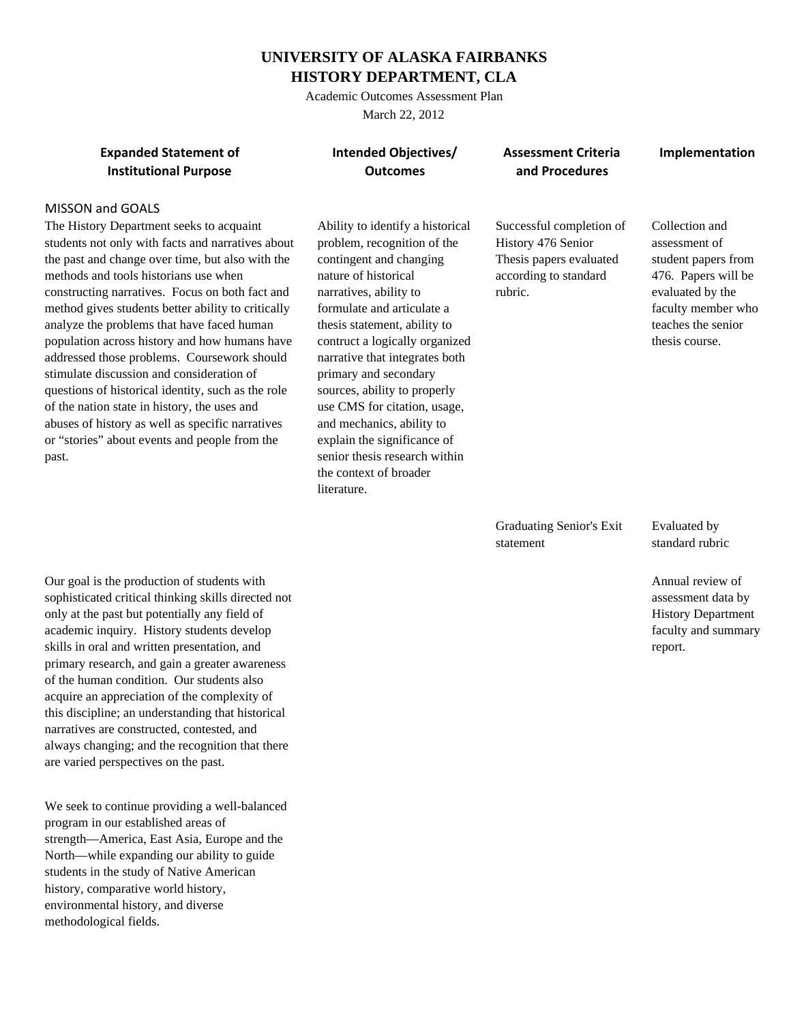## **UNIVERSITY OF ALASKA FAIRBANKS HISTORY DEPARTMENT, CLA**

Academic Outcomes Assessment Plan March 22, 2012

**Expanded Statement of Intended Objectives/ Assessment Criteria Implementation Institutional Purpose Theory Construction Control of Constructional Procedures** and **Procedures** 

## MISSON and GOALS

The History Department seeks to acquaint students not only with facts and narratives about the past and change over time, but also with the methods and tools historians use when constructing narratives. Focus on both fact and method gives students better ability to critically analyze the problems that have faced human population across history and how humans have addressed those problems. Coursework should stimulate discussion and consideration of questions of historical identity, such as the role of the nation state in history, the uses and abuses of history as well as specific narratives or "stories" about events and people from the past.

Ability to identify a historical problem, recognition of the contingent and changing nature of historical narratives, ability to formulate and articulate a thesis statement, ability to contruct a logically organized narrative that integrates both primary and secondary sources, ability to properly use CMS for citation, usage, and mechanics, ability to explain the significance of senior thesis research within the context of broader literature.

Successful completion of History 476 Senior Thesis papers evaluated according to standard rubric.

Collection and assessment of student papers from 476. Papers will be evaluated by the faculty member who teaches the senior thesis course.

Graduating Senior's Exit statement

Evaluated by standard rubric

Annual review of assessment data by History Department faculty and summary report.

Our goal is the production of students with sophisticated critical thinking skills directed not only at the past but potentially any field of academic inquiry. History students develop skills in oral and written presentation, and primary research, and gain a greater awareness of the human condition. Our students also acquire an appreciation of the complexity of this discipline; an understanding that historical narratives are constructed, contested, and always changing; and the recognition that there are varied perspectives on the past.

We seek to continue providing a well-balanced program in our established areas of strength—America, East Asia, Europe and the North—while expanding our ability to guide students in the study of Native American history, comparative world history, environmental history, and diverse methodological fields.